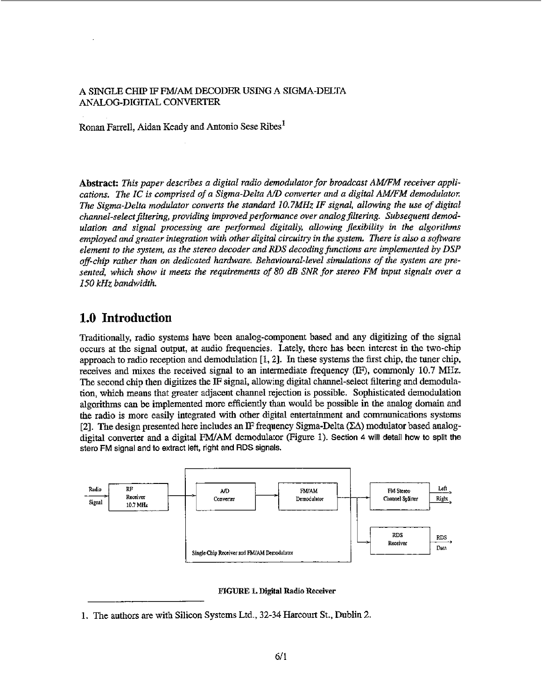#### A SINGLE CHIP IF FM/AM DECODER USING A SIGMA-DELTA **ANfiOG-DIGlTAL CONVERTER**

Ronan **Farrell,** Aidan Keady **and** Antonio Sese Ribes'

Abstract: This paper describes a digital radio demodulator for broadcast AM/FM receiver appli*cutiom. The IC is comprised of a Sigma-Delta A/D converter and a digital AM/FM demodulatol: The Sigma-Delta moduhtor converts the standard 10.7MHz IF signal, allowing the use of digital channel-select filtering, providing improved performance over analog filtering. Subsequent demod*ulation and signal processing are performed digitally, allowing flexibility in the algorithms *employed and greater integration with other digital circuitry in the system. There* **is** *also a sofbvare element to rhhe system, as the stereo decoder and RDS decodingfunctians are implemented by DSP off-chip rather than on dedicated hardware. Behavioural-level simulations of the* **system** *are presented, which show* **it** *meets* **the** *requirements of* **80** *dB SNR for stereo FM input signals over a I50 kHz bandwidth.* 

# **1.0 Introduction**

**Traditionally, radio** systems **have** been andogcomponent based and any **digitizing** of the signal occurs **at** the **signal output, at** audio frequencies. **Lately, there has been** interest in **the** two-chip **approach** to radio reception and **demodulation** [I, **23. In these** systems the hst **chip,** *the* tuner chip, receives and **mixes** the received signal to an intermediate frequency (IF), commonly **10.7** MHz. **The** second **chip then digitizes the** IF **signal, allowing** digital channel-select filtering **and** demodula**tion, which** means that greater adjacent **channel** rejection **is possible. Sophisticated** demodulation algorithms can be implemented **more efficiently than** would be **possible** in the analog domain **and**  the **radio** is more easily integrated **with** other **digital** entertainment **and** communications systems **[2]. The design** presented **here includes an 11:** frequency **Sigma-Delta** (LA) **modulator based** analog**stero FM signal** and io **extract** left, **right and RDS signals.** 



#### **FIGURE 1. Digital Radio Receiver**

**<sup>1.</sup>** The authors are with Silicon Systems Ltd., 32-34 Harcourt **St.,** Dublin *2.*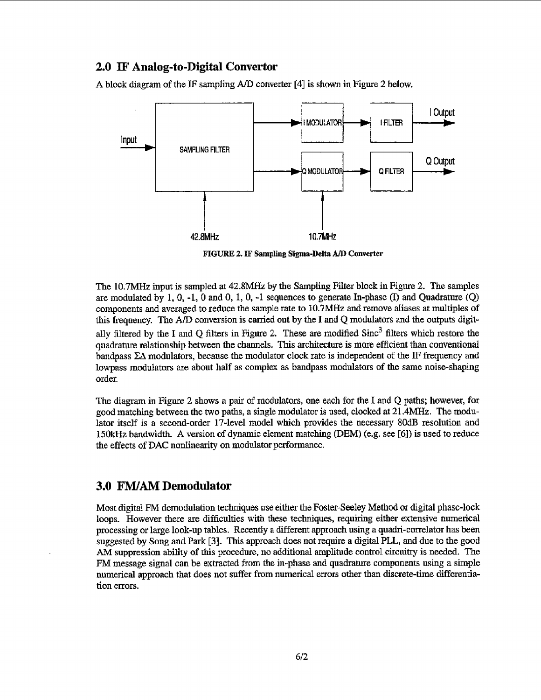### *2.0* **IF Analog-to-Digital Convertor**

**A block** diagram of the IF sampling *AID* converter **[4] is shown** in **Figure** 2 below.



**FIGURE** *2.* **IF Sampling Sigma-Delta** *A/D* **Converter** 

The **10.7MHz input is** sampled **at 42.8MHz** by **the Sampling** Filter **block** in Figure 2. The samples are modulated by 1, *0,* **-1,** 0 **and** 0, 1, **0,** -I **sequences to** generate In-phase **(I)** and **Quadrature** *(Q)*  components **and** averaged to reduce the sample rate **to 10.7MHz** and **remove** aliases *at* **multiples of**  this frequency. The *AID* conversion is **carried out by the I and** *Q* modulators and the outputs **digitally** filtered **by** the **I and Q filters** in Figure **2.** These **are** modified **Sinc3** filters which **restore** the **quadrature** relationship between the channels. This architecture **is** MOI~ efficient *than* conventional **bandpass EA modulators,** because the modulator **clock** rate **is** independent **of the IF frequency** and **lowpass** modulators **are about** half **as complex as bandpass** modulators **of the** same noise-shaphg **order.** 

**The diagram in** Figure 2 shows **a pair** of modulators, one **each** for the **I and Q paths; however, for**  good matching **between the** two **paths, a single** modulator **is used,** clocked **at 21.4MHz. The modulator itself is** a second-order 17-level model **which** provides *the necessary 8OdB* resolution and **lSOk€€z** bandwidth. **A** version **of dynamic element** matching **(DEM)** *(e.g.* **see (613 is** used to **reduce**  the **effects** of **DAC** nonfinearity on modulator performance.

### **3.0** *MAM* **Demodulator**

Most **digital** FM demodulation techniques **use either** the **Foster-Seeley** Method or digital **phase-lock**  loops. However there are difficulties with these techniques, requiring either extensive numerical processing or large **look-up tables.** Recently *L* **different** approach using **a** quadri-correlator has **been suggested by Song** and **Park [3j.** This **approach** does not **require a** digital PLL, **and due to** the **good**  *AM* **suppression ability** of **this** procedure, no additional amplimde **control circuity is** needed, The **FM** message signal can be extracted from **the in-phase** and **quadrature** components using **a simple**  numerical **approach that** does not **suffer** from **numerical errors** other than discrete-time **differentia**tion errors.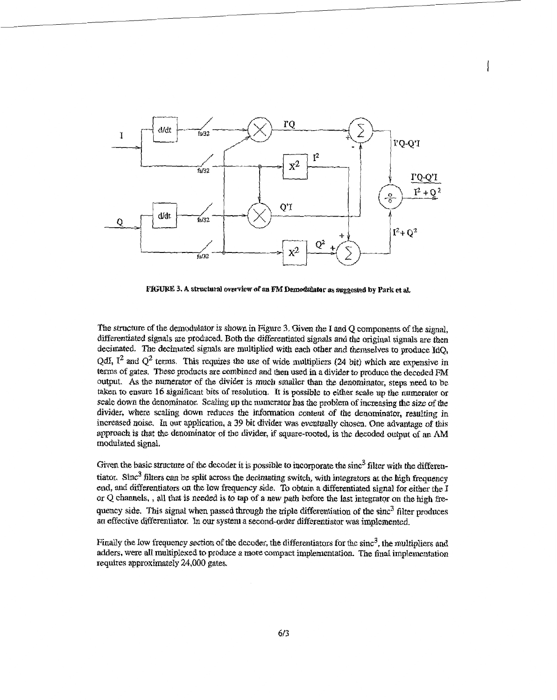

**FIGURE 3. A structursl overYiew of an FM Demodulatar** *8s* **suggested by Park et al.** 

**The structure** of **the** demodulator *is* **shown** in Figure **3. Given** *the* **1** and *Q* components of fie signal, **differentiated signals** are produced. Both the differentiated **signals** and **the** original signals *are* then decimated. The decimated signals are multiplied with each other and themselves to produce IdQ, QdI,  $I^2$  and  $Q^2$  terms. This requires the use of wide multipliers (24 bit) which are expensive in **terns of** gates. These **products** are **combined** and **then** used **in a divider** *to* **produce the decoded** FM output. *As* tbe **numerator** of the **divider** is much smailer than the denominator, steps **need to** be taken to ensure 16 significant bits of resolution. It is possible to either scale up the numerator or **scale down the** denominator. Scaling **up** the numerator **has** *the* **problem of** increasing **the** *size of &e*  **divider, where** scaling **down** reduces *the* information conknt **of the** denominator, **resulting** in increased *noise. In* our **application,** *a* **39 bit** divider **was** eventually chosen. One advantage **d** tbis **approach** *is* that **the** denominator of *tbe* **divider,** if **square-rooted, is** the decoded **ourput** of **an** *AM*  modulated signal.

Given the basic structure of the decoder it is possible to incorporate the sinc<sup>3</sup> filter with the differentiator. Shc3 filters *cm be* **split across** the **decimating** switch, **with** *integrators* **at** the **high** frequency **end,** and *differentiators* on **the low** fkquency side. To obtain a **differentiated** signal **for** either **the I**  or *Q* **channels,** , all that **is needed** *is to* **tap of ii new** *path* **behre** the last **htegratgr** *on* the **high fre**quency side. This signal when passed through the triple differentiation of the sinc<sup>3</sup> filter produces an effective differentiator. In our system a second-order differentiator was implemented.

**Finally the** low frequency section of **the** decoder, the differentiators **far** the sinc3, the multipliers **ad**  adders, were all multiplexed to produce a more compact implementation. The final implementation **requires approximately** 24,000 **gates.**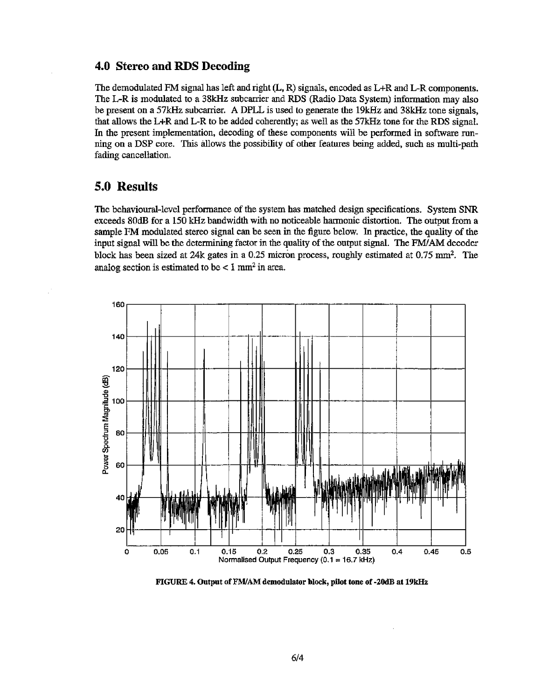#### **4.0 Stereo and RDS Decoding**

**The demodulated** FM **signal has** left and **right** *6,* **R) signals,** encoded as L+R and **L-R components.**  *?%e* **LR is modulated to a 38kwz** subcarrier and **RDS (Radio Data System)** information **may also**  be **present** on **a** *57m* subcarrier. **A** DPLL, is used **to generate the** 19kHz **and 38IcHz** tone **signals, that allows** the **L+R** and **L-R to** be added **coherently; as well as** the **57kHz** tone **for** *the* **RDS** signal. In the **present** implementation, decoding of **these** components will **be performed in** software **mn**ning **on** a **DSP core.** This **allows** the **possibility of other features being added, such as** multi-path **fading cancellation.** 

### **50 Results**

*The* **behavioural-level** perfomance of the system has **matched design specifications. System** *SNR*  **exceeds** *80dB* **for** a **150 kHz** bandwidth **with no noticeable** harmonic **distortion. The output fiom a sample** FM modulated **stereo** signal can be seen **in the figure below. In practice,** the **quality of** the input **sigd** will **be** the **determining** factor **in the quality of the output signal. The** FWAM decoder **block has** been **sized at 24k gates** in **a 0.25 micron** process, **roughly estimated at** 0.75 **mm2.** The analog section is estimated to be  $\lt 1$  mm<sup>2</sup> in area.



**FIGURE** *4.* **Output of EMAM demodulator block, pilot tone of -2OdB at 19kHz**